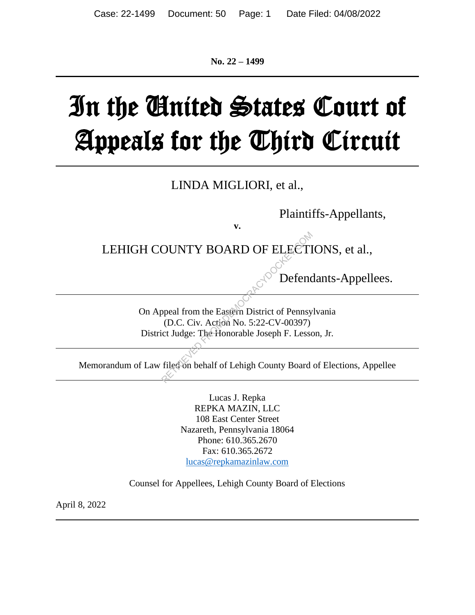**No. 22 – 1499**

# In the United States Court of Appeals for the Third Circuit

LINDA MIGLIORI, et al.,

Plaintiffs-Appellants,

LEHIGH COUNTY BOARD OF ELECTIONS, et al.,

**v.**

Defendants-Appellees.

On Appeal from the Eastern District of Pennsylvania (D.C. Civ. Action No. 5:22-CV-00397) District Judge: The Honorable Joseph F. Lesson, Jr. OUNTY BOARD OF ELECTI<br>
Defend<br>
Speal from the Eastern District of Pennsy<br>
(D.C. Civ. Action No. 5:22-CV-00397)<br>
Compared to the Honorable Joseph F. Lesse<br>
Filed on behalf of Lehigh County Board

Memorandum of Law filed on behalf of Lehigh County Board of Elections, Appellee

Lucas J. Repka REPKA MAZIN, LLC 108 East Center Street Nazareth, Pennsylvania 18064 Phone: 610.365.2670 Fax: 610.365.2672 lucas@repkamazinlaw.com

Counsel for Appellees, Lehigh County Board of Elections

April 8, 2022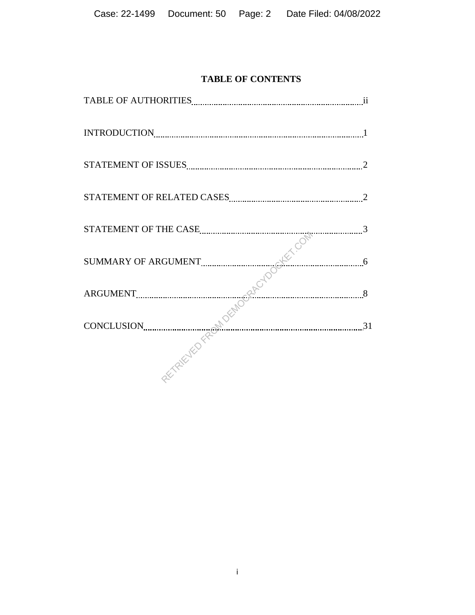# **TABLE OF CONTENTS**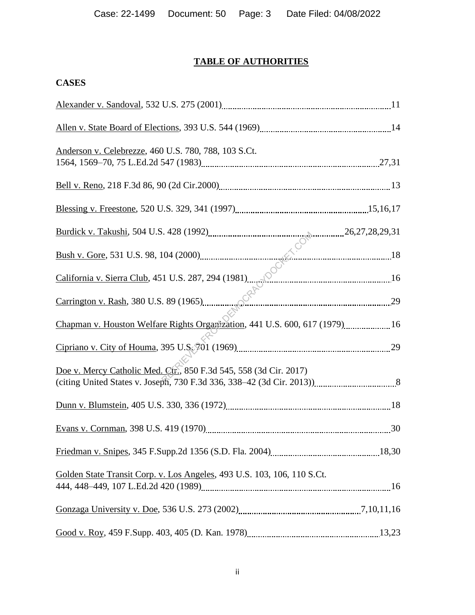# **TABLE OF AUTHORITIES**

# **CASES**

| Anderson v. Celebrezze, 460 U.S. 780, 788, 103 S.Ct.                        |  |
|-----------------------------------------------------------------------------|--|
|                                                                             |  |
|                                                                             |  |
|                                                                             |  |
|                                                                             |  |
| California v. Sierra Club, 451 U.S. 287, 294 (1981)                         |  |
|                                                                             |  |
| Chapman v. Houston Welfare Rights Organization, 441 U.S. 600, 617 (1979) 16 |  |
|                                                                             |  |
| Doe v. Mercy Catholic Med. Ctr., 850 F.3d 545, 558 (3d Cir. 2017)           |  |
|                                                                             |  |
|                                                                             |  |
|                                                                             |  |
| Golden State Transit Corp. v. Los Angeles, 493 U.S. 103, 106, 110 S.Ct.     |  |
|                                                                             |  |
|                                                                             |  |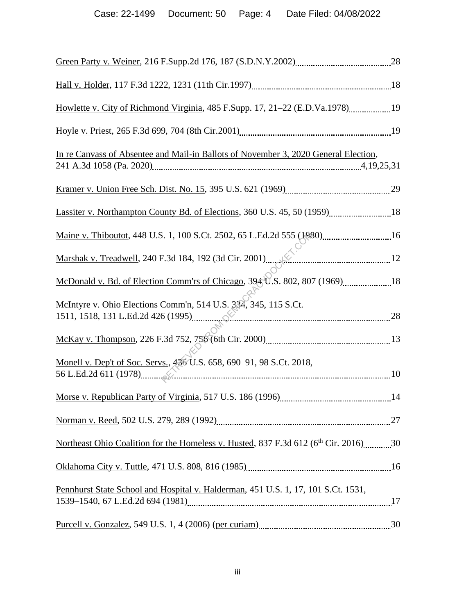| Howlette v. City of Richmond Virginia, 485 F.Supp. 17, 21–22 (E.D.Va.1978)19                    |  |
|-------------------------------------------------------------------------------------------------|--|
|                                                                                                 |  |
| In re Canvass of Absentee and Mail-in Ballots of November 3, 2020 General Election,             |  |
|                                                                                                 |  |
| Lassiter v. Northampton County Bd. of Elections, 360 U.S. 45, 50 (1959) 18                      |  |
|                                                                                                 |  |
| Marshak v. Treadwell, 240 F.3d 184, 192 (3d Cir. 2001)                                          |  |
|                                                                                                 |  |
| McIntyre v. Ohio Elections Comm'n, 514 U.S. 334, 345, 115 S.Ct.                                 |  |
|                                                                                                 |  |
| Monell v. Dep't of Soc. Servs., 436 U.S. 658, 690-91, 98 S.Ct. 2018,                            |  |
|                                                                                                 |  |
|                                                                                                 |  |
| Northeast Ohio Coalition for the Homeless v. Husted, 837 F.3d 612 (6 <sup>th</sup> Cir. 2016)30 |  |
|                                                                                                 |  |
| Pennhurst State School and Hospital v. Halderman, 451 U.S. 1, 17, 101 S.Ct. 1531,               |  |
|                                                                                                 |  |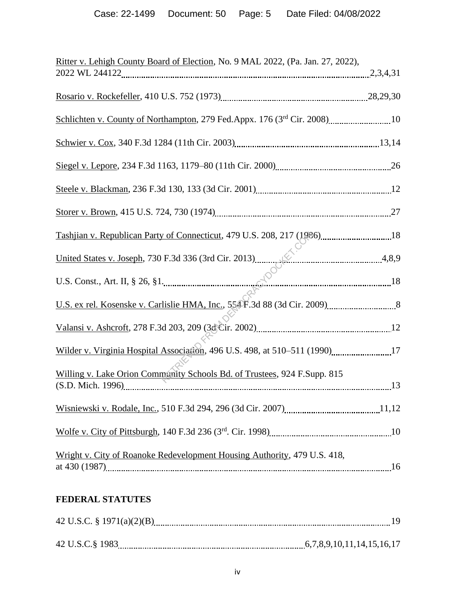| Ritter v. Lehigh County Board of Election, No. 9 MAL 2022, (Pa. Jan. 27, 2022), |  |
|---------------------------------------------------------------------------------|--|
|                                                                                 |  |
|                                                                                 |  |
|                                                                                 |  |
|                                                                                 |  |
|                                                                                 |  |
|                                                                                 |  |
|                                                                                 |  |
| Tashjian v. Republican Party of Connecticut, 479 U.S. 208, 217 (1986)18         |  |
|                                                                                 |  |
|                                                                                 |  |
|                                                                                 |  |
|                                                                                 |  |
| Wilder v. Virginia Hospital Association, 496 U.S. 498, at 510-511 (1990)17      |  |
| Willing v. Lake Orion Community Schools Bd. of Trustees, 924 F.Supp. 815        |  |
|                                                                                 |  |
|                                                                                 |  |
| Wright v. City of Roanoke Redevelopment Housing Authority, 479 U.S. 418,        |  |

# **FEDERAL STATUTES**

| 42 U.S.C.§ 1983 |  |
|-----------------|--|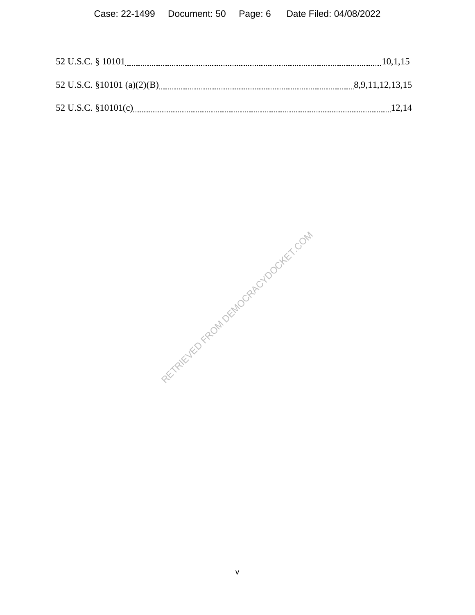RETRIEVED FROM DEMOCRACYDOCKET.COM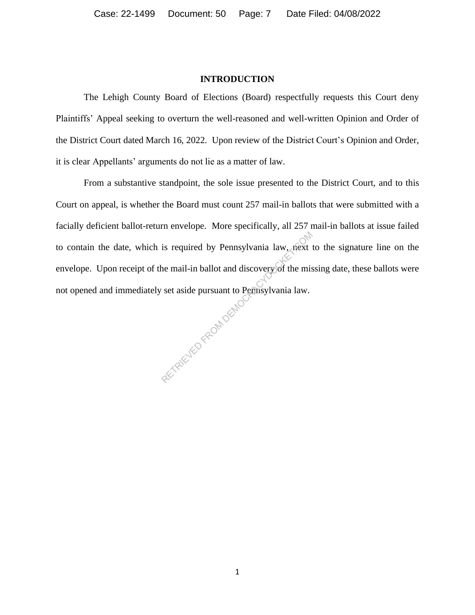#### **INTRODUCTION**

The Lehigh County Board of Elections (Board) respectfully requests this Court deny Plaintiffs' Appeal seeking to overturn the well-reasoned and well-written Opinion and Order of the District Court dated March 16, 2022. Upon review of the District Court's Opinion and Order, it is clear Appellants' arguments do not lie as a matter of law.

From a substantive standpoint, the sole issue presented to the District Court, and to this Court on appeal, is whether the Board must count 257 mail-in ballots that were submitted with a facially deficient ballot-return envelope. More specifically, all 257 mail-in ballots at issue failed to contain the date, which is required by Pennsylvania law, next to the signature line on the envelope. Upon receipt of the mail-in ballot and discovery of the missing date, these ballots were not opened and immediately set aside pursuant to Pennsylvania law. RETRIEVED FROM DEMOCRA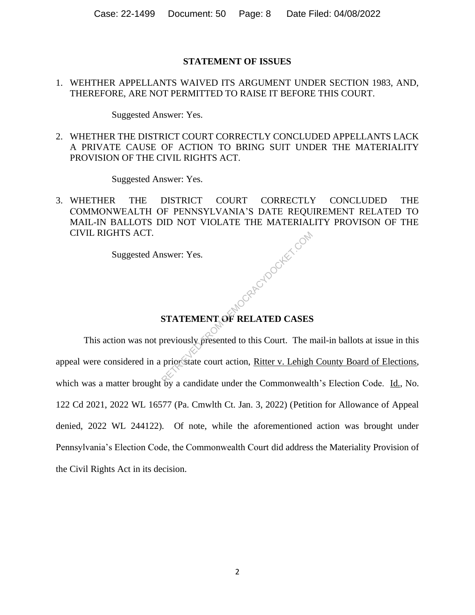## **STATEMENT OF ISSUES**

## 1. WEHTHER APPELLANTS WAIVED ITS ARGUMENT UNDER SECTION 1983, AND, THEREFORE, ARE NOT PERMITTED TO RAISE IT BEFORE THIS COURT.

Suggested Answer: Yes.

2. WHETHER THE DISTRICT COURT CORRECTLY CONCLUDED APPELLANTS LACK A PRIVATE CAUSE OF ACTION TO BRING SUIT UNDER THE MATERIALITY PROVISION OF THE CIVIL RIGHTS ACT.

Suggested Answer: Yes.

3. WHETHER THE DISTRICT COURT CORRECTLY CONCLUDED THE COMMONWEALTH OF PENNSYLVANIA'S DATE REQUIREMENT RELATED TO MAIL-IN BALLOTS DID NOT VIOLATE THE MATERIALITY PROVISON OF THE CIVIL RIGHTS ACT. Republikation

Suggested Answer: Yes.

# **STATEMENT OF RELATED CASES**

This action was not previously presented to this Court. The mail-in ballots at issue in this appeal were considered in a prior state court action, Ritter v. Lehigh County Board of Elections, which was a matter brought by a candidate under the Commonwealth's Election Code. Id., No. 122 Cd 2021, 2022 WL 16577 (Pa. Cmwlth Ct. Jan. 3, 2022) (Petition for Allowance of Appeal denied, 2022 WL 244122). Of note, while the aforementioned action was brought under Pennsylvania's Election Code, the Commonwealth Court did address the Materiality Provision of the Civil Rights Act in its decision.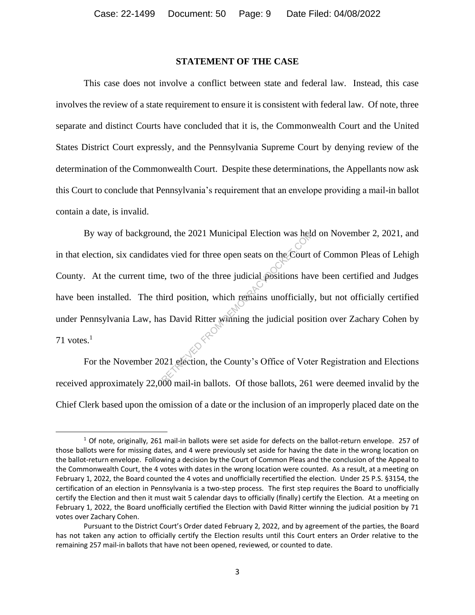## **STATEMENT OF THE CASE**

This case does not involve a conflict between state and federal law. Instead, this case involves the review of a state requirement to ensure it is consistent with federal law. Of note, three separate and distinct Courts have concluded that it is, the Commonwealth Court and the United States District Court expressly, and the Pennsylvania Supreme Court by denying review of the determination of the Commonwealth Court. Despite these determinations, the Appellants now ask this Court to conclude that Pennsylvania's requirement that an envelope providing a mail-in ballot contain a date, is invalid.

By way of background, the 2021 Municipal Election was held on November 2, 2021, and in that election, six candidates vied for three open seats on the Court of Common Pleas of Lehigh County. At the current time, two of the three judicial positions have been certified and Judges have been installed. The third position, which remains unofficially, but not officially certified under Pennsylvania Law, has David Ritter winning the judicial position over Zachary Cohen by 71 votes. $1$ nd, the 2021 Municipal Election was held<br>es vied for three open seats on the Court<br>e, two of the three judicial positions have<br>introduced by the position of the main and positions<br>and Ritter winning the judicial positions<br>

For the November 2021 election, the County's Office of Voter Registration and Elections received approximately 22,000 mail-in ballots. Of those ballots, 261 were deemed invalid by the Chief Clerk based upon the omission of a date or the inclusion of an improperly placed date on the

 $1$  Of note, originally, 261 mail-in ballots were set aside for defects on the ballot-return envelope. 257 of those ballots were for missing dates, and 4 were previously set aside for having the date in the wrong location on the ballot-return envelope. Following a decision by the Court of Common Pleas and the conclusion of the Appeal to the Commonwealth Court, the 4 votes with dates in the wrong location were counted. As a result, at a meeting on February 1, 2022, the Board counted the 4 votes and unofficially recertified the election. Under 25 P.S. §3154, the certification of an election in Pennsylvania is a two-step process. The first step requires the Board to unofficially certify the Election and then it must wait 5 calendar days to officially (finally) certify the Election. At a meeting on February 1, 2022, the Board unofficially certified the Election with David Ritter winning the judicial position by 71 votes over Zachary Cohen.

Pursuant to the District Court's Order dated February 2, 2022, and by agreement of the parties, the Board has not taken any action to officially certify the Election results until this Court enters an Order relative to the remaining 257 mail-in ballots that have not been opened, reviewed, or counted to date.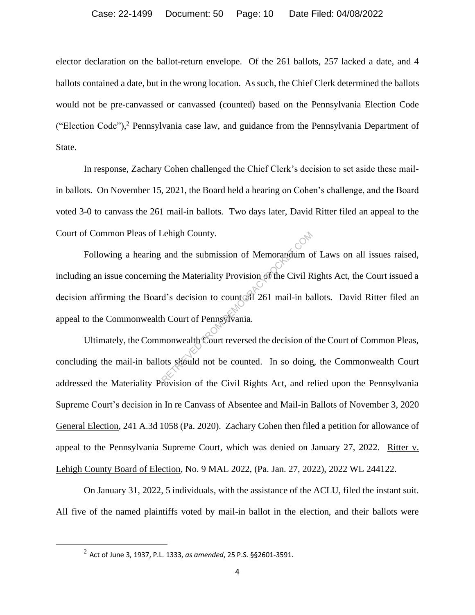elector declaration on the ballot-return envelope. Of the 261 ballots, 257 lacked a date, and 4 ballots contained a date, but in the wrong location. As such, the Chief Clerk determined the ballots would not be pre-canvassed or canvassed (counted) based on the Pennsylvania Election Code ("Election Code"), <sup>2</sup> Pennsylvania case law, and guidance from the Pennsylvania Department of State.

In response, Zachary Cohen challenged the Chief Clerk's decision to set aside these mailin ballots. On November 15, 2021, the Board held a hearing on Cohen's challenge, and the Board voted 3-0 to canvass the 261 mail-in ballots. Two days later, David Ritter filed an appeal to the Court of Common Pleas of Lehigh County.

Following a hearing and the submission of Memorandum of Laws on all issues raised, including an issue concerning the Materiality Provision of the Civil Rights Act, the Court issued a decision affirming the Board's decision to count all 261 mail-in ballots. David Ritter filed an appeal to the Commonwealth Court of Pennsylvania. Lehigh County.<br>
and the submission of Memorandum of<br>
g the Materiality Provision of the Civil R<br>
d's decision to count all 261 mail-in ba<br>
h Court of Pennsylvania.<br>
monwealth Court reversed the decision of<br>
ots should not

Ultimately, the Commonwealth Court reversed the decision of the Court of Common Pleas, concluding the mail-in ballots should not be counted. In so doing, the Commonwealth Court addressed the Materiality Provision of the Civil Rights Act, and relied upon the Pennsylvania Supreme Court's decision in In re Canvass of Absentee and Mail-in Ballots of November 3, 2020 General Election, 241 A.3d 1058 (Pa. 2020). Zachary Cohen then filed a petition for allowance of appeal to the Pennsylvania Supreme Court, which was denied on January 27, 2022. Ritter v. Lehigh County Board of Election, No. 9 MAL 2022, (Pa. Jan. 27, 2022), 2022 WL 244122.

On January 31, 2022, 5 individuals, with the assistance of the ACLU, filed the instant suit. All five of the named plaintiffs voted by mail-in ballot in the election, and their ballots were

<sup>2</sup> Act of June 3, 1937, P.L. 1333, *as amended*, 25 P.S. §§2601-3591.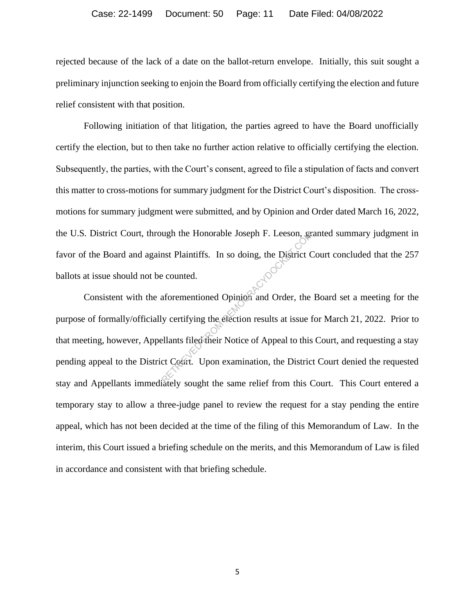#### Case: 22-1499 Document: 50 Page: 11 Date Filed: 04/08/2022

rejected because of the lack of a date on the ballot-return envelope. Initially, this suit sought a preliminary injunction seeking to enjoin the Board from officially certifying the election and future relief consistent with that position.

Following initiation of that litigation, the parties agreed to have the Board unofficially certify the election, but to then take no further action relative to officially certifying the election. Subsequently, the parties, with the Court's consent, agreed to file a stipulation of facts and convert this matter to cross-motions for summary judgment for the District Court's disposition. The crossmotions for summary judgment were submitted, and by Opinion and Order dated March 16, 2022, the U.S. District Court, through the Honorable Joseph F. Leeson, granted summary judgment in favor of the Board and against Plaintiffs. In so doing, the District Court concluded that the 257 ballots at issue should not be counted.

Consistent with the aforementioned Opinion and Order, the Board set a meeting for the purpose of formally/officially certifying the election results at issue for March 21, 2022. Prior to that meeting, however, Appellants filed their Notice of Appeal to this Court, and requesting a stay pending appeal to the District Court. Upon examination, the District Court denied the requested stay and Appellants immediately sought the same relief from this Court. This Court entered a temporary stay to allow a three-judge panel to review the request for a stay pending the entire appeal, which has not been decided at the time of the filing of this Memorandum of Law. In the interim, this Court issued a briefing schedule on the merits, and this Memorandum of Law is filed in accordance and consistent with that briefing schedule. The Honorable Joseph F. Leeson, gentled<br>
and Plaintiffs. In so doing, the District C<br>
e counted.<br>
aforementioned Opinion and Order, the<br>
y certifying the election results at issue f<br>
ellants filed their Notice of Appeal to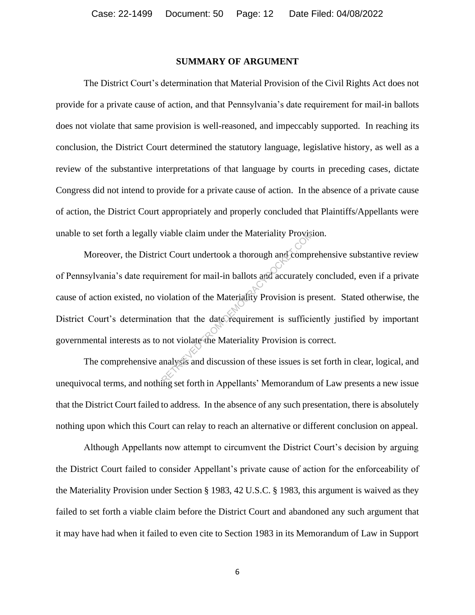#### **SUMMARY OF ARGUMENT**

The District Court's determination that Material Provision of the Civil Rights Act does not provide for a private cause of action, and that Pennsylvania's date requirement for mail-in ballots does not violate that same provision is well-reasoned, and impeccably supported. In reaching its conclusion, the District Court determined the statutory language, legislative history, as well as a review of the substantive interpretations of that language by courts in preceding cases, dictate Congress did not intend to provide for a private cause of action. In the absence of a private cause of action, the District Court appropriately and properly concluded that Plaintiffs/Appellants were unable to set forth a legally viable claim under the Materiality Provision.

Moreover, the District Court undertook a thorough and comprehensive substantive review of Pennsylvania's date requirement for mail-in ballots and accurately concluded, even if a private cause of action existed, no violation of the Materiality Provision is present. Stated otherwise, the District Court's determination that the date requirement is sufficiently justified by important governmental interests as to not violate the Materiality Provision is correct. Wiable claim under the Materiality Provisity<br>ct Court undertook a thorough and compi<br>rement for mail-in ballots and accurately<br>iolation of the Materiality Provision is pi<br>ion that the date requirement is sufficient<br>not vio

The comprehensive analysis and discussion of these issues is set forth in clear, logical, and unequivocal terms, and nothing set forth in Appellants' Memorandum of Law presents a new issue that the District Court failed to address. In the absence of any such presentation, there is absolutely nothing upon which this Court can relay to reach an alternative or different conclusion on appeal.

Although Appellants now attempt to circumvent the District Court's decision by arguing the District Court failed to consider Appellant's private cause of action for the enforceability of the Materiality Provision under Section § 1983, 42 U.S.C. § 1983, this argument is waived as they failed to set forth a viable claim before the District Court and abandoned any such argument that it may have had when it failed to even cite to Section 1983 in its Memorandum of Law in Support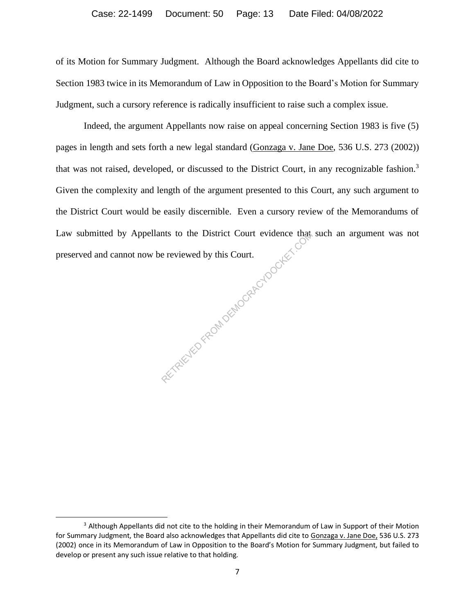of its Motion for Summary Judgment. Although the Board acknowledges Appellants did cite to Section 1983 twice in its Memorandum of Law in Opposition to the Board's Motion for Summary Judgment, such a cursory reference is radically insufficient to raise such a complex issue.

Indeed, the argument Appellants now raise on appeal concerning Section 1983 is five (5) pages in length and sets forth a new legal standard (Gonzaga v. Jane Doe, 536 U.S. 273 (2002)) that was not raised, developed, or discussed to the District Court, in any recognizable fashion.<sup>3</sup> Given the complexity and length of the argument presented to this Court, any such argument to the District Court would be easily discernible. Even a cursory review of the Memorandums of Law submitted by Appellants to the District Court evidence that such an argument was not preserved and cannot now be reviewed by this Court. Le the Composition of the Choice is

<sup>&</sup>lt;sup>3</sup> Although Appellants did not cite to the holding in their Memorandum of Law in Support of their Motion for Summary Judgment, the Board also acknowledges that Appellants did cite to Gonzaga v. Jane Doe, 536 U.S. 273 (2002) once in its Memorandum of Law in Opposition to the Board's Motion for Summary Judgment, but failed to develop or present any such issue relative to that holding.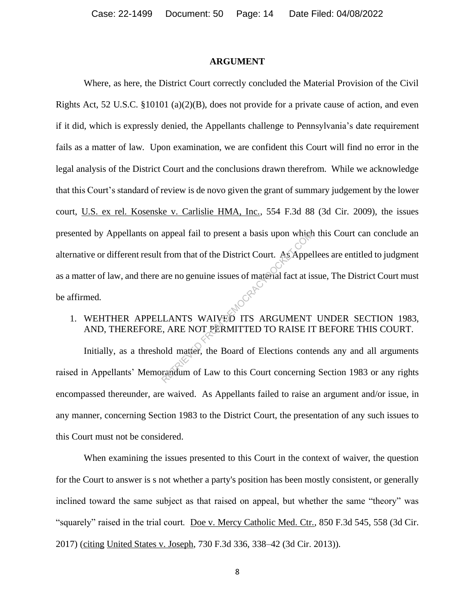#### **ARGUMENT**

Where, as here, the District Court correctly concluded the Material Provision of the Civil Rights Act, 52 U.S.C. §10101 (a)(2)(B), does not provide for a private cause of action, and even if it did, which is expressly denied, the Appellants challenge to Pennsylvania's date requirement fails as a matter of law. Upon examination, we are confident this Court will find no error in the legal analysis of the District Court and the conclusions drawn therefrom. While we acknowledge that this Court's standard of review is de novo given the grant of summary judgement by the lower court, U.S. ex rel. Kosenske v. Carlislie HMA, Inc., 554 F.3d 88 (3d Cir. 2009), the issues presented by Appellants on appeal fail to present a basis upon which this Court can conclude an alternative or different result from that of the District Court. As Appellees are entitled to judgment as a matter of law, and there are no genuine issues of material fact at issue, The District Court must be affirmed. appeal fail to present a basis upon which<br>from that of the District Court. As Appeare<br>are no genuine issues of material fact at is<br>LANTS WAIVED ITS ARGUMENT<br>i, ARE NOT PERMITTED TO RAISE IT<br>old matter, the Board of Electio

## 1. WEHTHER APPELLANTS WAIVED ITS ARGUMENT UNDER SECTION 1983, AND, THEREFORE, ARE NOT PERMITTED TO RAISE IT BEFORE THIS COURT.

Initially, as a threshold matter, the Board of Elections contends any and all arguments raised in Appellants' Memorandum of Law to this Court concerning Section 1983 or any rights encompassed thereunder, are waived. As Appellants failed to raise an argument and/or issue, in any manner, concerning Section 1983 to the District Court, the presentation of any such issues to this Court must not be considered.

When examining the issues presented to this Court in the context of waiver, the question for the Court to answer is s not whether a party's position has been mostly consistent, or generally inclined toward the same subject as that raised on appeal, but whether the same "theory" was "squarely" raised in the trial court. Doe v. Mercy Catholic Med. Ctr., 850 F.3d 545, 558 (3d Cir. 2017) (citing United States v. Joseph, 730 F.3d 336, 338–42 (3d Cir. 2013)).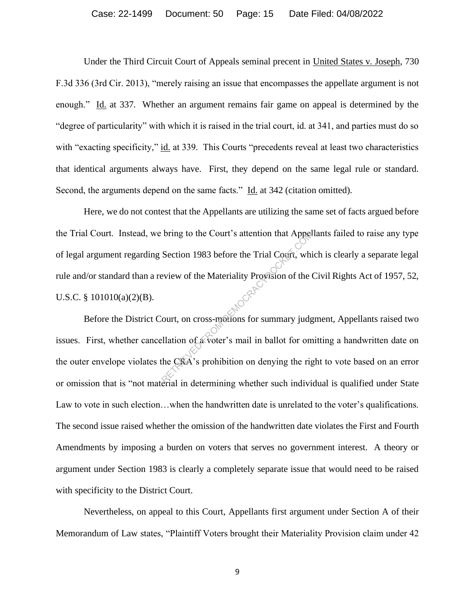#### Case: 22-1499 Document: 50 Page: 15 Date Filed: 04/08/2022

Under the Third Circuit Court of Appeals seminal precent in United States v. Joseph, 730 F.3d 336 (3rd Cir. 2013), "merely raising an issue that encompasses the appellate argument is not enough." Id. at 337. Whether an argument remains fair game on appeal is determined by the "degree of particularity" with which it is raised in the trial court, id. at 341, and parties must do so with "exacting specificity," id. at 339. This Courts "precedents reveal at least two characteristics that identical arguments always have. First, they depend on the same legal rule or standard. Second, the arguments depend on the same facts." Id. at 342 (citation omitted).

Here, we do not contest that the Appellants are utilizing the same set of facts argued before the Trial Court. Instead, we bring to the Court's attention that Appellants failed to raise any type of legal argument regarding Section 1983 before the Trial Court, which is clearly a separate legal rule and/or standard than a review of the Materiality Provision of the Civil Rights Act of 1957, 52, U.S.C. §  $101010(a)(2)(B)$ . bring to the Court's attention that Appel<br>Section 1983 before the Trial Court, which<br>eview of the Materiality Provision of the C<br>where Materiality Court, on cross-metions for summary judged<br>ellation of a voter's mail in ba

Before the District Court, on cross-motions for summary judgment, Appellants raised two issues. First, whether cancellation of a voter's mail in ballot for omitting a handwritten date on the outer envelope violates the CRA's prohibition on denying the right to vote based on an error or omission that is "not material in determining whether such individual is qualified under State Law to vote in such election…when the handwritten date is unrelated to the voter's qualifications. The second issue raised whether the omission of the handwritten date violates the First and Fourth Amendments by imposing a burden on voters that serves no government interest. A theory or argument under Section 1983 is clearly a completely separate issue that would need to be raised with specificity to the District Court.

Nevertheless, on appeal to this Court, Appellants first argument under Section A of their Memorandum of Law states, "Plaintiff Voters brought their Materiality Provision claim under 42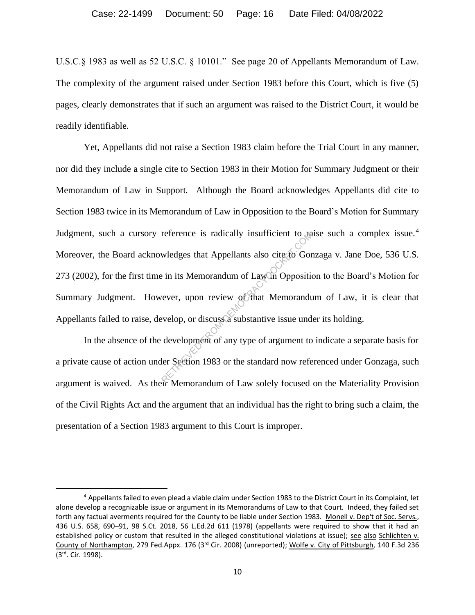U.S.C.§ 1983 as well as 52 U.S.C. § 10101." See page 20 of Appellants Memorandum of Law. The complexity of the argument raised under Section 1983 before this Court, which is five (5) pages, clearly demonstrates that if such an argument was raised to the District Court, it would be readily identifiable.

Yet, Appellants did not raise a Section 1983 claim before the Trial Court in any manner, nor did they include a single cite to Section 1983 in their Motion for Summary Judgment or their Memorandum of Law in Support. Although the Board acknowledges Appellants did cite to Section 1983 twice in its Memorandum of Law in Opposition to the Board's Motion for Summary Judgment, such a cursory reference is radically insufficient to raise such a complex issue.<sup>4</sup> Moreover, the Board acknowledges that Appellants also cite to Gonzaga v. Jane Doe, 536 U.S. 273 (2002), for the first time in its Memorandum of Law in Opposition to the Board's Motion for Summary Judgment. However, upon review of that Memorandum of Law, it is clear that Appellants failed to raise, develop, or discuss a substantive issue under its holding. reference is radically insufficient to tax<br>wledges that Appellants also cite to Gore<br>in its Memorandum of Lawin Opposition<br>ever, upon review of that Memorandum<br>evelop, or discuss a substantive issue und<br>development of any

In the absence of the development of any type of argument to indicate a separate basis for a private cause of action under Section 1983 or the standard now referenced under Gonzaga, such argument is waived. As their Memorandum of Law solely focused on the Materiality Provision of the Civil Rights Act and the argument that an individual has the right to bring such a claim, the presentation of a Section 1983 argument to this Court is improper.

<sup>4</sup> Appellants failed to even plead a viable claim under Section 1983 to the District Court in its Complaint, let alone develop a recognizable issue or argument in its Memorandums of Law to that Court. Indeed, they failed set forth any factual averments required for the County to be liable under Section 1983. Monell v. Dep't of Soc. Servs., 436 U.S. 658, 690–91, 98 S.Ct. 2018, 56 L.Ed.2d 611 (1978) (appellants were required to show that it had an established policy or custom that resulted in the alleged constitutional violations at issue); see also Schlichten v. County of Northampton, 279 Fed.Appx. 176 (3rd Cir. 2008) (unreported); Wolfe v. City of Pittsburgh, 140 F.3d 236 (3 rd. Cir. 1998).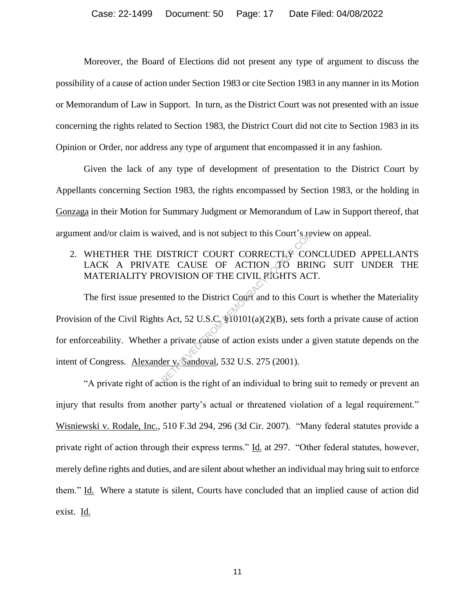Moreover, the Board of Elections did not present any type of argument to discuss the possibility of a cause of action under Section 1983 or cite Section 1983 in any manner in its Motion or Memorandum of Law in Support. In turn, as the District Court was not presented with an issue concerning the rights related to Section 1983, the District Court did not cite to Section 1983 in its Opinion or Order, nor address any type of argument that encompassed it in any fashion.

Given the lack of any type of development of presentation to the District Court by Appellants concerning Section 1983, the rights encompassed by Section 1983, or the holding in Gonzaga in their Motion for Summary Judgment or Memorandum of Law in Support thereof, that argument and/or claim is waived, and is not subject to this Court's review on appeal.

## 2. WHETHER THE DISTRICT COURT CORRECTLY CONCLUDED APPELLANTS LACK A PRIVATE CAUSE OF ACTION TO BRING SUIT UNDER THE MATERIALITY PROVISION OF THE CIVIL RIGHTS ACT.

The first issue presented to the District Court and to this Court is whether the Materiality Provision of the Civil Rights Act, 52 U.S.C. §10101(a)(2)(B), sets forth a private cause of action for enforceability. Whether a private cause of action exists under a given statute depends on the intent of Congress. Alexander v. Sandoval, 532 U.S. 275 (2001). The CAUSE of ACTION TO BRI<br>
DISTRICT COURT CORRECTLY CONTE CAUSE OF ACTION TO BRI<br>
DVISION OF THE CIVIL RIGHTS AC<br>
ted to the District Court and to this Court<br>
s Act, 52 U.S.C. \$10101(a)(2)(B), sets for<br>
a private cause of

"A private right of action is the right of an individual to bring suit to remedy or prevent an injury that results from another party's actual or threatened violation of a legal requirement." Wisniewski v. Rodale, Inc., 510 F.3d 294, 296 (3d Cir. 2007). "Many federal statutes provide a private right of action through their express terms." Id. at 297. "Other federal statutes, however, merely define rights and duties, and are silent about whether an individual may bring suit to enforce them." Id. Where a statute is silent, Courts have concluded that an implied cause of action did exist. Id.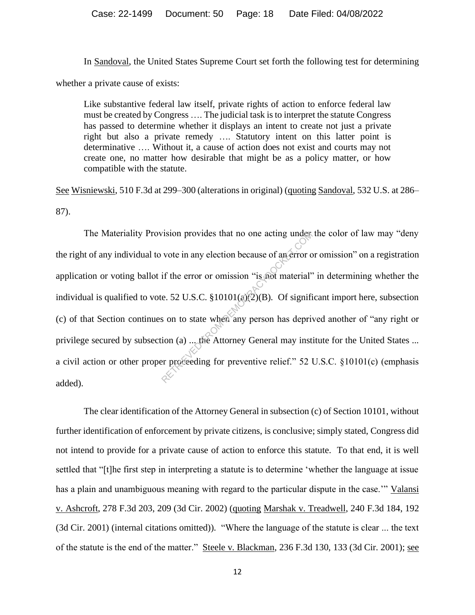In Sandoval, the United States Supreme Court set forth the following test for determining whether a private cause of exists:

Like substantive federal law itself, private rights of action to enforce federal law must be created by Congress …. The judicial task is to interpret the statute Congress has passed to determine whether it displays an intent to create not just a private right but also a private remedy …. Statutory intent on this latter point is determinative …. Without it, a cause of action does not exist and courts may not create one, no matter how desirable that might be as a policy matter, or how compatible with the statute.

See Wisniewski, 510 F.3d at 299–300 (alterations in original) (quoting Sandoval, 532 U.S. at 286– 87).

The Materiality Provision provides that no one acting under the color of law may "deny the right of any individual to vote in any election because of an error or omission" on a registration application or voting ballot if the error or omission "is not material" in determining whether the individual is qualified to vote. 52 U.S.C. §10101(a)(2)(B). Of significant import here, subsection (c) of that Section continues on to state when any person has deprived another of "any right or privilege secured by subsection (a) ... the Attorney General may institute for the United States ... a civil action or other proper proceeding for preventive relief." 52 U.S.C. §10101(c) (emphasis added). The provides that no one acting under<br>vote in any election because of an error comes if the error or omission "is not material"<br>e. 52 U.S.C. §10101( $\omega$ (2)(B). Of significant some to state when any person has deprived in

The clear identification of the Attorney General in subsection (c) of Section 10101, without further identification of enforcement by private citizens, is conclusive; simply stated, Congress did not intend to provide for a private cause of action to enforce this statute. To that end, it is well settled that "[t]he first step in interpreting a statute is to determine 'whether the language at issue has a plain and unambiguous meaning with regard to the particular dispute in the case.'" Valansi v. Ashcroft, 278 F.3d 203, 209 (3d Cir. 2002) (quoting Marshak v. Treadwell, 240 F.3d 184, 192 (3d Cir. 2001) (internal citations omitted)). "Where the language of the statute is clear ... the text of the statute is the end of the matter." Steele v. Blackman, 236 F.3d 130, 133 (3d Cir. 2001); see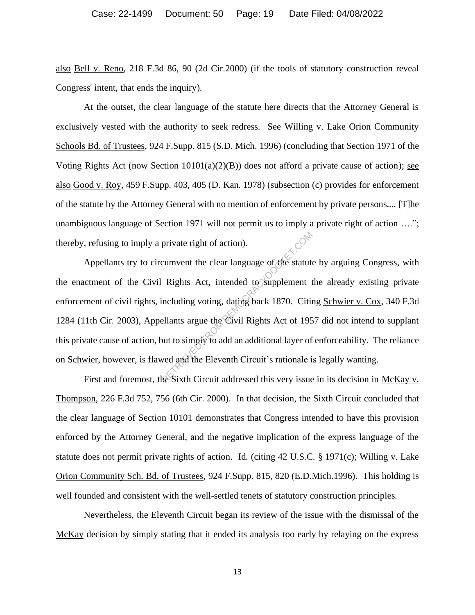also Bell v. Reno, 218 F.3d 86, 90 (2d Cir.2000) (if the tools of statutory construction reveal Congress' intent, that ends the inquiry).

At the outset, the clear language of the statute here directs that the Attorney General is exclusively vested with the authority to seek redress. See Willing v. Lake Orion Community Schools Bd. of Trustees, 924 F.Supp. 815 (S.D. Mich. 1996) (concluding that Section 1971 of the Voting Rights Act (now Section  $10101(a)(2)(B)$ ) does not afford a private cause of action); see also Good v. Roy, 459 F.Supp. 403, 405 (D. Kan. 1978) (subsection (c) provides for enforcement of the statute by the Attorney General with no mention of enforcement by private persons.... [T]he unambiguous language of Section 1971 will not permit us to imply a private right of action ...."; thereby, refusing to imply a private right of action).

Appellants try to circumvent the clear language of the statute by arguing Congress, with the enactment of the Civil Rights Act, intended to supplement the already existing private enforcement of civil rights, including voting, dating back 1870. Citing Schwier v. Cox, 340 F.3d 1284 (11th Cir. 2003), Appellants argue the Civil Rights Act of 1957 did not intend to supplant this private cause of action, but to simply to add an additional layer of enforceability. The reliance on Schwier, however, is flawed and the Eleventh Circuit's rationale is legally wanting. private right of action).<br>
cumvent the clear language of the statute<br>
Rights Act, intended to supplement the<br>
including voting, dating back 1870. Citin<br>
ellants argue the Civil Rights Act of 195<br>
but to simply to add an ad

First and foremost, the Sixth Circuit addressed this very issue in its decision in McKay v. Thompson, 226 F.3d 752, 756 (6th Cir. 2000). In that decision, the Sixth Circuit concluded that the clear language of Section 10101 demonstrates that Congress intended to have this provision enforced by the Attorney General, and the negative implication of the express language of the statute does not permit private rights of action. Id. (citing 42 U.S.C. § 1971(c); Willing v. Lake Orion Community Sch. Bd. of Trustees, 924 F.Supp. 815, 820 (E.D.Mich.1996). This holding is well founded and consistent with the well-settled tenets of statutory construction principles.

Nevertheless, the Eleventh Circuit began its review of the issue with the dismissal of the McKay decision by simply stating that it ended its analysis too early by relaying on the express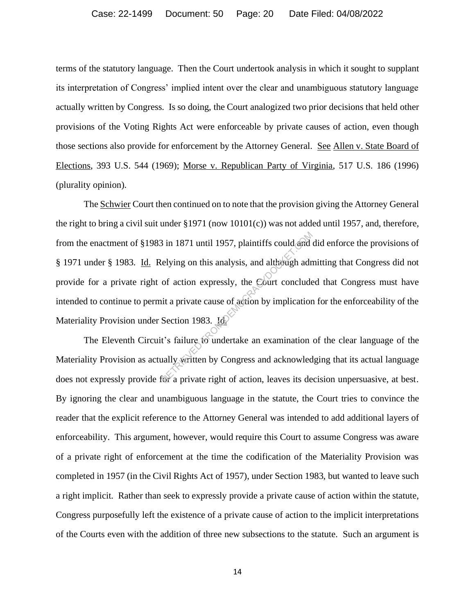terms of the statutory language. Then the Court undertook analysis in which it sought to supplant its interpretation of Congress' implied intent over the clear and unambiguous statutory language actually written by Congress. Is so doing, the Court analogized two prior decisions that held other provisions of the Voting Rights Act were enforceable by private causes of action, even though those sections also provide for enforcement by the Attorney General. See Allen v. State Board of Elections, 393 U.S. 544 (1969); Morse v. Republican Party of Virginia, 517 U.S. 186 (1996) (plurality opinion).

The Schwier Court then continued on to note that the provision giving the Attorney General the right to bring a civil suit under  $\S 1971$  (now  $10101(c)$ ) was not added until 1957, and, therefore, from the enactment of §1983 in 1871 until 1957, plaintiffs could and did enforce the provisions of § 1971 under § 1983. Id. Relying on this analysis, and although admitting that Congress did not provide for a private right of action expressly, the Court concluded that Congress must have intended to continue to permit a private cause of action by implication for the enforceability of the Materiality Provision under Section 1983. Id.  $8$  in 1871 until 1957, plaintiffs could and<br>elying on this analysis, and although adr<br>of action expressly, the Court conclude<br>it a private cause of action by implication<br>Section 1983. In the section 1983. In the section

The Eleventh Circuit's failure to undertake an examination of the clear language of the Materiality Provision as actually written by Congress and acknowledging that its actual language does not expressly provide for a private right of action, leaves its decision unpersuasive, at best. By ignoring the clear and unambiguous language in the statute, the Court tries to convince the reader that the explicit reference to the Attorney General was intended to add additional layers of enforceability. This argument, however, would require this Court to assume Congress was aware of a private right of enforcement at the time the codification of the Materiality Provision was completed in 1957 (in the Civil Rights Act of 1957), under Section 1983, but wanted to leave such a right implicit. Rather than seek to expressly provide a private cause of action within the statute, Congress purposefully left the existence of a private cause of action to the implicit interpretations of the Courts even with the addition of three new subsections to the statute. Such an argument is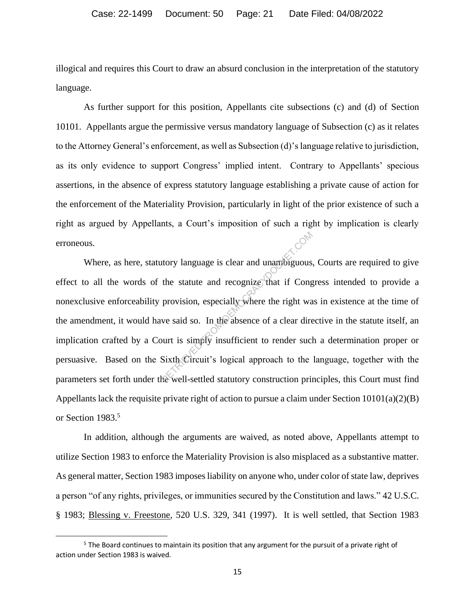illogical and requires this Court to draw an absurd conclusion in the interpretation of the statutory language.

As further support for this position, Appellants cite subsections (c) and (d) of Section 10101. Appellants argue the permissive versus mandatory language of Subsection (c) as it relates to the Attorney General's enforcement, as well as Subsection (d)'s language relative to jurisdiction, as its only evidence to support Congress' implied intent. Contrary to Appellants' specious assertions, in the absence of express statutory language establishing a private cause of action for the enforcement of the Materiality Provision, particularly in light of the prior existence of such a right as argued by Appellants, a Court's imposition of such a right by implication is clearly erroneous.

Where, as here, statutory language is clear and unambiguous, Courts are required to give effect to all the words of the statute and recognize that if Congress intended to provide a nonexclusive enforceability provision, especially where the right was in existence at the time of the amendment, it would have said so. In the absence of a clear directive in the statute itself, an implication crafted by a Court is simply insufficient to render such a determination proper or persuasive. Based on the Sixth Circuit's logical approach to the language, together with the parameters set forth under the well-settled statutory construction principles, this Court must find Appellants lack the requisite private right of action to pursue a claim under Section  $10101(a)(2)(B)$ or Section 1983. 5 The statute and recognize that if Cong<br>provision, especially where the right wave said so. In the absence of a clear dire<br>ourt is simply insufficient to render such Sixth Circuit's logical approach to the<br>second status is

In addition, although the arguments are waived, as noted above, Appellants attempt to utilize Section 1983 to enforce the Materiality Provision is also misplaced as a substantive matter. As general matter, Section 1983 imposes liability on anyone who, under color of state law, deprives a person "of any rights, privileges, or immunities secured by the Constitution and laws." 42 U.S.C. § 1983; Blessing v. Freestone, 520 U.S. 329, 341 (1997). It is well settled, that Section 1983

 $5$  The Board continues to maintain its position that any argument for the pursuit of a private right of action under Section 1983 is waived.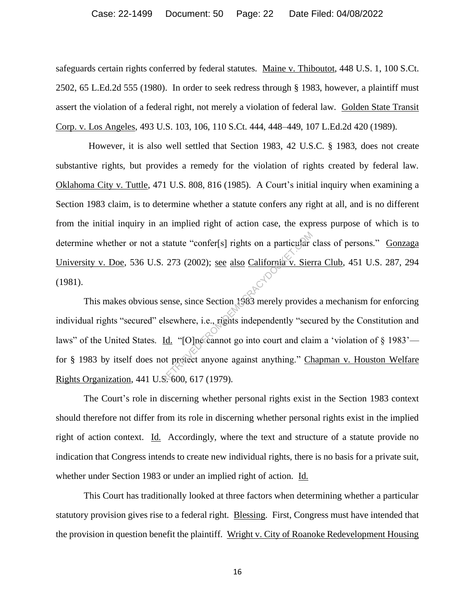#### Case: 22-1499 Document: 50 Page: 22 Date Filed: 04/08/2022

safeguards certain rights conferred by federal statutes. Maine v. Thiboutot, 448 U.S. 1, 100 S.Ct. 2502, 65 L.Ed.2d 555 (1980). In order to seek redress through § 1983, however, a plaintiff must assert the violation of a federal right, not merely a violation of federal law. Golden State Transit Corp. v. Los Angeles, 493 U.S. 103, 106, 110 S.Ct. 444, 448–449, 107 L.Ed.2d 420 (1989).

 However, it is also well settled that Section 1983, 42 U.S.C. § 1983, does not create substantive rights, but provides a remedy for the violation of rights created by federal law. Oklahoma City v. Tuttle, 471 U.S. 808, 816 (1985). A Court's initial inquiry when examining a Section 1983 claim, is to determine whether a statute confers any right at all, and is no different from the initial inquiry in an implied right of action case, the express purpose of which is to determine whether or not a statute "confer[s] rights on a particular class of persons." Gonzaga University v. Doe, 536 U.S. 273 (2002); see also California v. Sierra Club, 451 U.S. 287, 294 (1981).

This makes obvious sense, since Section 1983 merely provides a mechanism for enforcing individual rights "secured" elsewhere, i.e., rights independently "secured by the Constitution and laws" of the United States. Id. "[O]ne cannot go into court and claim a 'violation of § 1983' for § 1983 by itself does not protect anyone against anything." Chapman v. Houston Welfare Rights Organization, 441 U.S. 600, 617 (1979). statute "confer[s] rights on a particular<br>
273 (2002); <u>see also California v. Sien</u><br>
sense, since Section 1983 merely provide<br>
elsewhere, i.e., rights independently "sected.<br>
<u>Id.</u> "[O]ne cannot go into court and claint

The Court's role in discerning whether personal rights exist in the Section 1983 context should therefore not differ from its role in discerning whether personal rights exist in the implied right of action context. Id. Accordingly, where the text and structure of a statute provide no indication that Congress intends to create new individual rights, there is no basis for a private suit, whether under Section 1983 or under an implied right of action. Id.

This Court has traditionally looked at three factors when determining whether a particular statutory provision gives rise to a federal right. Blessing. First, Congress must have intended that the provision in question benefit the plaintiff. Wright v. City of Roanoke Redevelopment Housing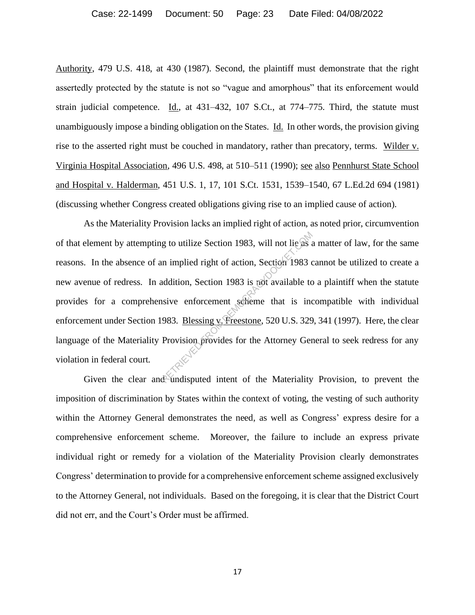Authority, 479 U.S. 418, at 430 (1987). Second, the plaintiff must demonstrate that the right assertedly protected by the statute is not so "vague and amorphous" that its enforcement would strain judicial competence. Id., at  $431-432$ ,  $107$  S.Ct., at  $774-775$ . Third, the statute must unambiguously impose a binding obligation on the States. Id. In other words, the provision giving rise to the asserted right must be couched in mandatory, rather than precatory, terms. Wilder v. Virginia Hospital Association, 496 U.S. 498, at 510–511 (1990); see also Pennhurst State School and Hospital v. Halderman, 451 U.S. 1, 17, 101 S.Ct. 1531, 1539–1540, 67 L.Ed.2d 694 (1981) (discussing whether Congress created obligations giving rise to an implied cause of action).

As the Materiality Provision lacks an implied right of action, as noted prior, circumvention of that element by attempting to utilize Section 1983, will not lie as a matter of law, for the same reasons. In the absence of an implied right of action, Section 1983 cannot be utilized to create a new avenue of redress. In addition, Section 1983 is not available to a plaintiff when the statute provides for a comprehensive enforcement scheme that is incompatible with individual enforcement under Section 1983. Blessing v. Freestone, 520 U.S. 329, 341 (1997). Here, the clear language of the Materiality Provision provides for the Attorney General to seek redress for any violation in federal court. g to utilize Section 1983, will not lie as a<br>
un implied right of action, Section 1983 c<br>
addition, Section 1983 is not available to<br>
usive enforcement scheme that is inc<br>
983. <u>Blessing v. Freestone</u>, 520 U.S. 329<br>
Provis

Given the clear and undisputed intent of the Materiality Provision, to prevent the imposition of discrimination by States within the context of voting, the vesting of such authority within the Attorney General demonstrates the need, as well as Congress' express desire for a comprehensive enforcement scheme. Moreover, the failure to include an express private individual right or remedy for a violation of the Materiality Provision clearly demonstrates Congress' determination to provide for a comprehensive enforcement scheme assigned exclusively to the Attorney General, not individuals. Based on the foregoing, it is clear that the District Court did not err, and the Court's Order must be affirmed.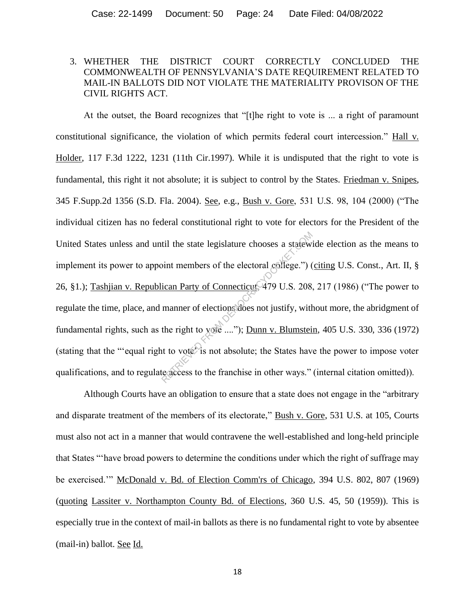## 3. WHETHER THE DISTRICT COURT CORRECTLY CONCLUDED THE COMMONWEALTH OF PENNSYLVANIA'S DATE REQUIREMENT RELATED TO MAIL-IN BALLOTS DID NOT VIOLATE THE MATERIALITY PROVISON OF THE CIVIL RIGHTS ACT.

At the outset, the Board recognizes that "[t]he right to vote is ... a right of paramount constitutional significance, the violation of which permits federal court intercession." Hall v. Holder, 117 F.3d 1222, 1231 (11th Cir.1997). While it is undisputed that the right to vote is fundamental, this right it not absolute; it is subject to control by the States. Friedman v. Snipes, 345 F.Supp.2d 1356 (S.D. Fla. 2004). See, e.g., Bush v. Gore, 531 U.S. 98, 104 (2000) ("The individual citizen has no federal constitutional right to vote for electors for the President of the United States unless and until the state legislature chooses a statewide election as the means to implement its power to appoint members of the electoral college.") (citing U.S. Const., Art. II, § 26, §1.); Tashjian v. Republican Party of Connecticut, 479 U.S. 208, 217 (1986) ("The power to regulate the time, place, and manner of elections does not justify, without more, the abridgment of fundamental rights, such as the right to vote ...."); Dunn v. Blumstein, 405 U.S. 330, 336 (1972) (stating that the "'equal right to vote") is not absolute; the States have the power to impose voter qualifications, and to regulate access to the franchise in other ways." (internal citation omitted)). til the state legislature chooses a statew:<br>
bint members of the electoral college.") (<br>
ican Party of Connecticute 479 U.S. 208.<br>
manner of elections does not justify, with<br>
the right to yote ...."); Dunn v. Blumstein<br>
it

Although Courts have an obligation to ensure that a state does not engage in the "arbitrary and disparate treatment of the members of its electorate," Bush v. Gore, 531 U.S. at 105, Courts must also not act in a manner that would contravene the well-established and long-held principle that States "'have broad powers to determine the conditions under which the right of suffrage may be exercised.'" McDonald v. Bd. of Election Comm'rs of Chicago, 394 U.S. 802, 807 (1969) (quoting Lassiter v. Northampton County Bd. of Elections, 360 U.S. 45, 50 (1959)). This is especially true in the context of mail-in ballots as there is no fundamental right to vote by absentee (mail-in) ballot. See Id.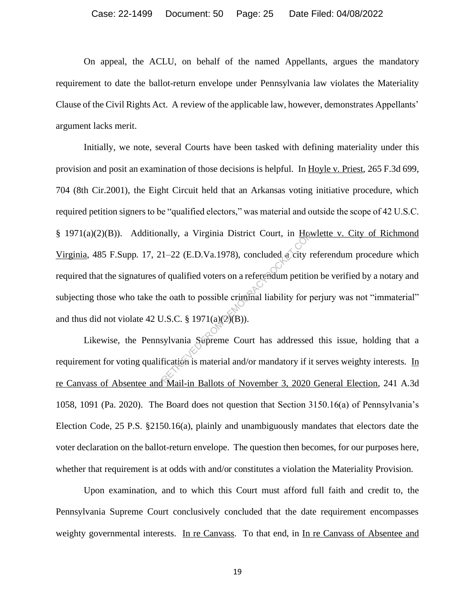On appeal, the ACLU, on behalf of the named Appellants, argues the mandatory requirement to date the ballot-return envelope under Pennsylvania law violates the Materiality Clause of the Civil Rights Act. A review of the applicable law, however, demonstrates Appellants' argument lacks merit.

Initially, we note, several Courts have been tasked with defining materiality under this provision and posit an examination of those decisions is helpful. In Hoyle v. Priest, 265 F.3d 699, 704 (8th Cir.2001), the Eight Circuit held that an Arkansas voting initiative procedure, which required petition signers to be "qualified electors," was material and outside the scope of 42 U.S.C. § 1971(a)(2)(B)). Additionally, a Virginia District Court, in Howlette v. City of Richmond Virginia, 485 F.Supp. 17, 21–22 (E.D.Va.1978), concluded a city referendum procedure which required that the signatures of qualified voters on a referendum petition be verified by a notary and subjecting those who take the oath to possible criminal liability for perjury was not "immaterial" and thus did not violate 42 U.S.C.  $\S$  1971(a)(2)(B)). hally, a Virginia District Court, in How<br>1–22 (E.D.Va.1978), concluded a city r<br>of qualified voters on a referendum petition<br>is oath to possible criminal liability for p<br>J.S.C. § 1971(a)(2)(B)).<br>sylvania Supreme Court has

Likewise, the Pennsylvania Supreme Court has addressed this issue, holding that a requirement for voting qualification is material and/or mandatory if it serves weighty interests. In re Canvass of Absentee and Mail-in Ballots of November 3, 2020 General Election, 241 A.3d 1058, 1091 (Pa. 2020). The Board does not question that Section 3150.16(a) of Pennsylvania's Election Code, 25 P.S. §2150.16(a), plainly and unambiguously mandates that electors date the voter declaration on the ballot-return envelope. The question then becomes, for our purposes here, whether that requirement is at odds with and/or constitutes a violation the Materiality Provision.

Upon examination, and to which this Court must afford full faith and credit to, the Pennsylvania Supreme Court conclusively concluded that the date requirement encompasses weighty governmental interests. In re Canvass. To that end, in In re Canvass of Absentee and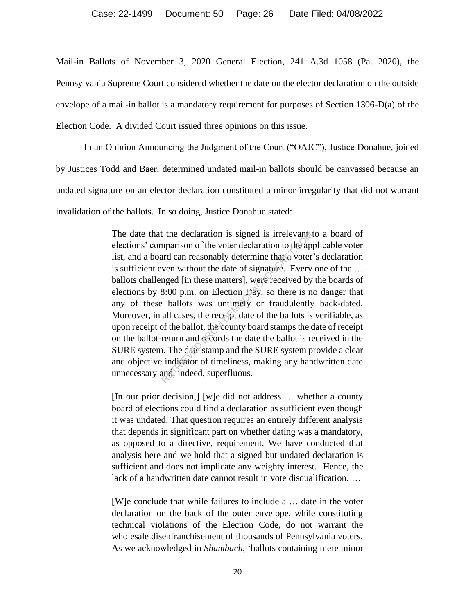Mail-in Ballots of November 3, 2020 General Election, 241 A.3d 1058 (Pa. 2020), the Pennsylvania Supreme Court considered whether the date on the elector declaration on the outside envelope of a mail-in ballot is a mandatory requirement for purposes of Section 1306-D(a) of the Election Code. A divided Court issued three opinions on this issue.

In an Opinion Announcing the Judgment of the Court ("OAJC"), Justice Donahue, joined by Justices Todd and Baer, determined undated mail-in ballots should be canvassed because an undated signature on an elector declaration constituted a minor irregularity that did not warrant invalidation of the ballots. In so doing, Justice Donahue stated:

> The date that the declaration is signed is irrelevant to a board of elections' comparison of the voter declaration to the applicable voter list, and a board can reasonably determine that a voter's declaration is sufficient even without the date of signature. Every one of the … ballots challenged [in these matters], were received by the boards of elections by 8:00 p.m. on Election Day, so there is no danger that any of these ballots was untimely or fraudulently back-dated. Moreover, in all cases, the receipt date of the ballots is verifiable, as upon receipt of the ballot, the county board stamps the date of receipt on the ballot-return and records the date the ballot is received in the SURE system. The date stamp and the SURE system provide a clear and objective indicator of timeliness, making any handwritten date unnecessary and, indeed, superfluous. the declaration is signed is irrelevant<br>mparison of the voter declaration to the ap-<br>ard can reasonably determine that a voter-<br>ven without the date of signature. Every<br>nged [in these matters], were received by<br>8:00 p.m. o

> [In our prior decision,] [w]e did not address … whether a county board of elections could find a declaration as sufficient even though it was undated. That question requires an entirely different analysis that depends in significant part on whether dating was a mandatory, as opposed to a directive, requirement. We have conducted that analysis here and we hold that a signed but undated declaration is sufficient and does not implicate any weighty interest. Hence, the lack of a handwritten date cannot result in vote disqualification. …

> [W]e conclude that while failures to include a … date in the voter declaration on the back of the outer envelope, while constituting technical violations of the Election Code, do not warrant the wholesale disenfranchisement of thousands of Pennsylvania voters. As we acknowledged in *Shambach*, 'ballots containing mere minor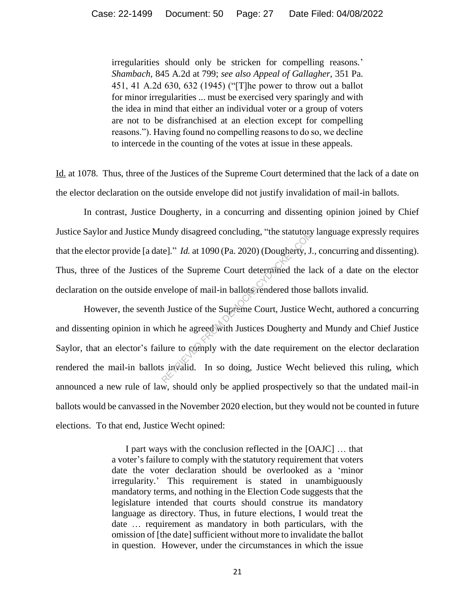irregularities should only be stricken for compelling reasons.' *Shambach*, 845 A.2d at 799; *see also Appeal of Gallagher*, 351 Pa. 451, 41 A.2d 630, 632 (1945) ("[T]he power to throw out a ballot for minor irregularities ... must be exercised very sparingly and with the idea in mind that either an individual voter or a group of voters are not to be disfranchised at an election except for compelling reasons."). Having found no compelling reasons to do so, we decline to intercede in the counting of the votes at issue in these appeals.

Id. at 1078. Thus, three of the Justices of the Supreme Court determined that the lack of a date on the elector declaration on the outside envelope did not justify invalidation of mail-in ballots.

In contrast, Justice Dougherty, in a concurring and dissenting opinion joined by Chief Justice Saylor and Justice Mundy disagreed concluding, "the statutory language expressly requires that the elector provide [a date]." *Id.* at 1090 (Pa. 2020) (Dougherty, J., concurring and dissenting). Thus, three of the Justices of the Supreme Court determined the lack of a date on the elector declaration on the outside envelope of mail-in ballots rendered those ballots invalid.

However, the seventh Justice of the Supreme Court, Justice Wecht, authored a concurring and dissenting opinion in which he agreed with Justices Dougherty and Mundy and Chief Justice Saylor, that an elector's failure to comply with the date requirement on the elector declaration rendered the mail-in ballots invalid. In so doing, Justice Wecht believed this ruling, which announced a new rule of law, should only be applied prospectively so that the undated mail-in ballots would be canvassed in the November 2020 election, but they would not be counted in future elections. To that end, Justice Wecht opined: te]." *Id.* at 1090 (Pa. 2020) (Dougherty, J.<br>of the Supreme Court determined the la<br>welope of mail-in ballots rendered those<br>h Justice of the Supreme Court, Justice W<br>nich he agreed with Justices Dougherty a<br>lure to compl

> I part ways with the conclusion reflected in the [OAJC] … that a voter's failure to comply with the statutory requirement that voters date the voter declaration should be overlooked as a 'minor irregularity.' This requirement is stated in unambiguously mandatory terms, and nothing in the Election Code suggests that the legislature intended that courts should construe its mandatory language as directory. Thus, in future elections, I would treat the date … requirement as mandatory in both particulars, with the omission of [the date] sufficient without more to invalidate the ballot in question. However, under the circumstances in which the issue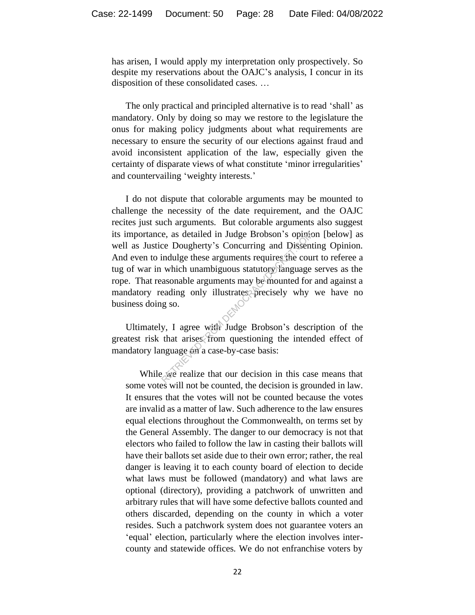has arisen, I would apply my interpretation only prospectively. So despite my reservations about the OAJC's analysis, I concur in its disposition of these consolidated cases. …

The only practical and principled alternative is to read 'shall' as mandatory. Only by doing so may we restore to the legislature the onus for making policy judgments about what requirements are necessary to ensure the security of our elections against fraud and avoid inconsistent application of the law, especially given the certainty of disparate views of what constitute 'minor irregularities' and countervailing 'weighty interests.'

I do not dispute that colorable arguments may be mounted to challenge the necessity of the date requirement, and the OAJC recites just such arguments. But colorable arguments also suggest its importance, as detailed in Judge Brobson's opinion [below] as well as Justice Dougherty's Concurring and Dissenting Opinion. And even to indulge these arguments requires the court to referee a tug of war in which unambiguous statutory language serves as the rope. That reasonable arguments may be mounted for and against a mandatory reading only illustrates precisely why we have no business doing so. e, as detailed in Judge Brobson's opinic<br>ce Dougherty's Concurring and Dissent<br>indulge these arguments requires the cours<br>which unambiguous statutory language<br>asonable arguments may be mounted for<br>eading only illustrates p

Ultimately, I agree with Judge Brobson's description of the greatest risk that arises from questioning the intended effect of mandatory language on a case-by-case basis:

While we realize that our decision in this case means that some votes will not be counted, the decision is grounded in law. It ensures that the votes will not be counted because the votes are invalid as a matter of law. Such adherence to the law ensures equal elections throughout the Commonwealth, on terms set by the General Assembly. The danger to our democracy is not that electors who failed to follow the law in casting their ballots will have their ballots set aside due to their own error; rather, the real danger is leaving it to each county board of election to decide what laws must be followed (mandatory) and what laws are optional (directory), providing a patchwork of unwritten and arbitrary rules that will have some defective ballots counted and others discarded, depending on the county in which a voter resides. Such a patchwork system does not guarantee voters an 'equal' election, particularly where the election involves intercounty and statewide offices. We do not enfranchise voters by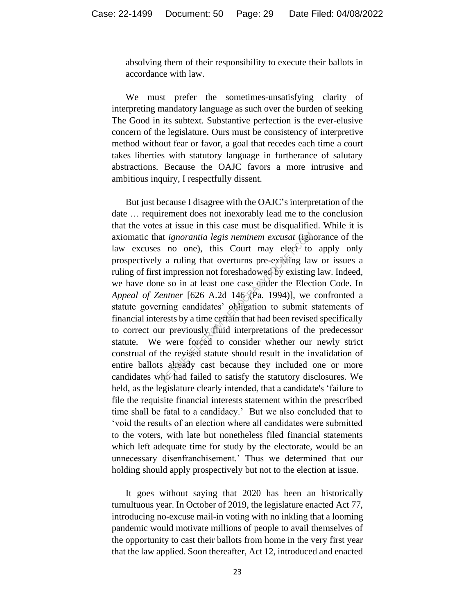absolving them of their responsibility to execute their ballots in accordance with law.

We must prefer the sometimes-unsatisfying clarity of interpreting mandatory language as such over the burden of seeking The Good in its subtext. Substantive perfection is the ever-elusive concern of the legislature. Ours must be consistency of interpretive method without fear or favor, a goal that recedes each time a court takes liberties with statutory language in furtherance of salutary abstractions. Because the OAJC favors a more intrusive and ambitious inquiry, I respectfully dissent.

But just because I disagree with the OAJC's interpretation of the date … requirement does not inexorably lead me to the conclusion that the votes at issue in this case must be disqualified. While it is axiomatic that *ignorantia legis neminem excusat* (ignorance of the law excuses no one), this Court may elect to apply only prospectively a ruling that overturns pre-existing law or issues a ruling of first impression not foreshadowed by existing law. Indeed, we have done so in at least one case under the Election Code. In *Appeal of Zentner* [626 A.2d 146 (Pa. 1994)], we confronted a statute governing candidates' obligation to submit statements of financial interests by a time certain that had been revised specifically to correct our previously fluid interpretations of the predecessor statute. We were forced to consider whether our newly strict construal of the revised statute should result in the invalidation of entire ballots already cast because they included one or more candidates who had failed to satisfy the statutory disclosures. We held, as the legislature clearly intended, that a candidate's 'failure to file the requisite financial interests statement within the prescribed time shall be fatal to a candidacy.' But we also concluded that to 'void the results of an election where all candidates were submitted to the voters, with late but nonetheless filed financial statements which left adequate time for study by the electorate, would be an unnecessary disenfranchisement.' Thus we determined that our holding should apply prospectively but not to the election at issue. is *i gnorantia legis neminem excusat* (igh no one), this Court may elect to a ruling that overturns pre-existing lavel impression not foreshadowed by existing e so in at least one case under the Electement [626 A.2d 146 (

It goes without saying that 2020 has been an historically tumultuous year. In October of 2019, the legislature enacted Act 77, introducing no-excuse mail-in voting with no inkling that a looming pandemic would motivate millions of people to avail themselves of the opportunity to cast their ballots from home in the very first year that the law applied. Soon thereafter, Act 12, introduced and enacted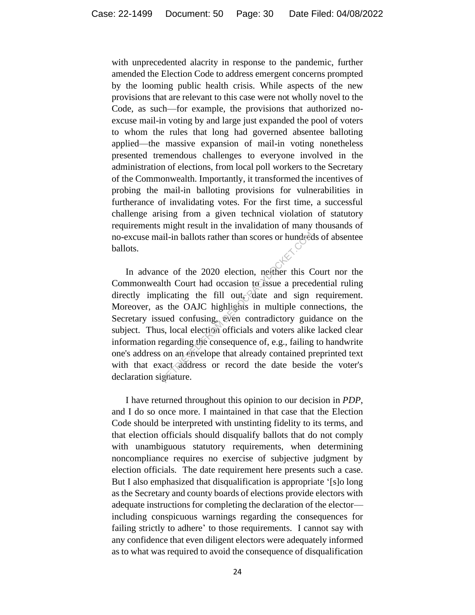with unprecedented alacrity in response to the pandemic, further amended the Election Code to address emergent concerns prompted by the looming public health crisis. While aspects of the new provisions that are relevant to this case were not wholly novel to the Code, as such—for example, the provisions that authorized noexcuse mail-in voting by and large just expanded the pool of voters to whom the rules that long had governed absentee balloting applied—the massive expansion of mail-in voting nonetheless presented tremendous challenges to everyone involved in the administration of elections, from local poll workers to the Secretary of the Commonwealth. Importantly, it transformed the incentives of probing the mail-in balloting provisions for vulnerabilities in furtherance of invalidating votes. For the first time, a successful challenge arising from a given technical violation of statutory requirements might result in the invalidation of many thousands of no-excuse mail-in ballots rather than scores or hundreds of absentee ballots.

In advance of the 2020 election, neither this Court nor the Commonwealth Court had occasion to issue a precedential ruling directly implicating the fill out, date and sign requirement. Moreover, as the OAJC highlights in multiple connections, the Secretary issued confusing, even contradictory guidance on the subject. Thus, local election officials and voters alike lacked clear information regarding the consequence of, e.g., failing to handwrite one's address on an envelope that already contained preprinted text with that exact address or record the date beside the voter's declaration signature. il-in ballots rather than scores or hundred<br>ce of the 2020 election, neither this C<br>lth Court had occasion to issue a prece-<br>licating the fill out. date and sign<br>s the OAJC highlights in multiple con-<br>ued confusing, even c

I have returned throughout this opinion to our decision in *PDP*, and I do so once more. I maintained in that case that the Election Code should be interpreted with unstinting fidelity to its terms, and that election officials should disqualify ballots that do not comply with unambiguous statutory requirements, when determining noncompliance requires no exercise of subjective judgment by election officials. The date requirement here presents such a case. But I also emphasized that disqualification is appropriate '[s]o long as the Secretary and county boards of elections provide electors with adequate instructions for completing the declaration of the elector including conspicuous warnings regarding the consequences for failing strictly to adhere' to those requirements. I cannot say with any confidence that even diligent electors were adequately informed as to what was required to avoid the consequence of disqualification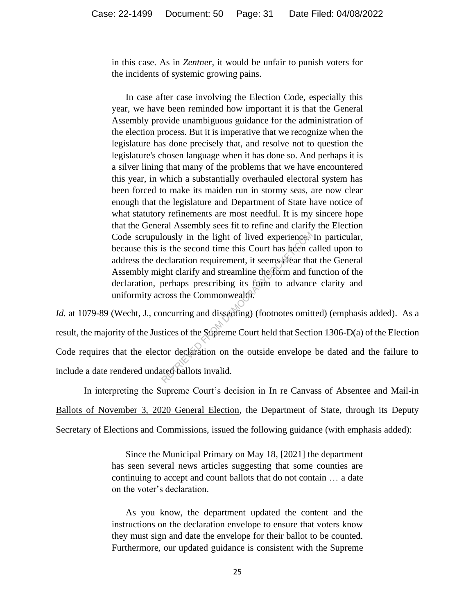in this case. As in *Zentner*, it would be unfair to punish voters for the incidents of systemic growing pains.

In case after case involving the Election Code, especially this year, we have been reminded how important it is that the General Assembly provide unambiguous guidance for the administration of the election process. But it is imperative that we recognize when the legislature has done precisely that, and resolve not to question the legislature's chosen language when it has done so. And perhaps it is a silver lining that many of the problems that we have encountered this year, in which a substantially overhauled electoral system has been forced to make its maiden run in stormy seas, are now clear enough that the legislature and Department of State have notice of what statutory refinements are most needful. It is my sincere hope that the General Assembly sees fit to refine and clarify the Election Code scrupulously in the light of lived experience. In particular, because this is the second time this Court has been called upon to address the declaration requirement, it seems clear that the General Assembly might clarify and streamline the form and function of the declaration, perhaps prescribing its form to advance clarity and uniformity across the Commonwealth. Nously in the light of lived experiencestis the second time this Court has been c<br>eclaration requirement, it seems elear than<br>ght clarify and streamline the form and fi<br>perhaps prescribing its form to advance<br>ross the Comm

*Id.* at 1079-89 (Wecht, J., concurring and dissenting) (footnotes omitted) (emphasis added). As a result, the majority of the Justices of the Supreme Court held that Section 1306-D(a) of the Election Code requires that the elector declaration on the outside envelope be dated and the failure to include a date rendered undated ballots invalid.

In interpreting the Supreme Court's decision in In re Canvass of Absentee and Mail-in Ballots of November 3, 2020 General Election, the Department of State, through its Deputy Secretary of Elections and Commissions, issued the following guidance (with emphasis added):

> Since the Municipal Primary on May 18, [2021] the department has seen several news articles suggesting that some counties are continuing to accept and count ballots that do not contain … a date on the voter's declaration.

> As you know, the department updated the content and the instructions on the declaration envelope to ensure that voters know they must sign and date the envelope for their ballot to be counted. Furthermore, our updated guidance is consistent with the Supreme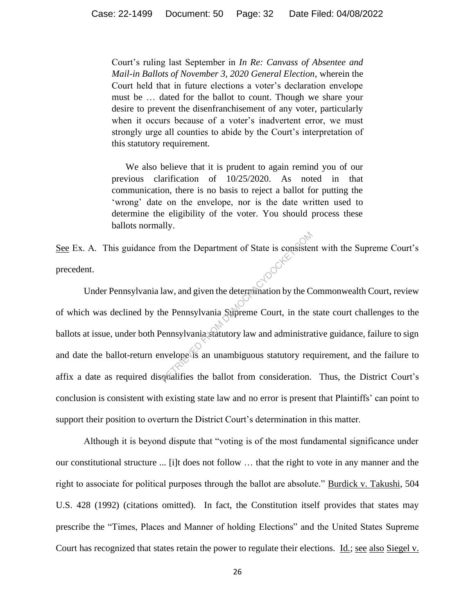Court's ruling last September in *In Re: Canvass of Absentee and Mail-in Ballots of November 3, 2020 General Election*, wherein the Court held that in future elections a voter's declaration envelope must be … dated for the ballot to count. Though we share your desire to prevent the disenfranchisement of any voter, particularly when it occurs because of a voter's inadvertent error, we must strongly urge all counties to abide by the Court's interpretation of this statutory requirement.

We also believe that it is prudent to again remind you of our previous clarification of 10/25/2020. As noted in that communication, there is no basis to reject a ballot for putting the 'wrong' date on the envelope, nor is the date written used to determine the eligibility of the voter. You should process these ballots normally.

See Ex. A. This guidance from the Department of State is consistent with the Supreme Court's precedent.

Under Pennsylvania law, and given the determination by the Commonwealth Court, review of which was declined by the Pennsylvania Supreme Court, in the state court challenges to the ballots at issue, under both Pennsylvania statutory law and administrative guidance, failure to sign and date the ballot-return envelope is an unambiguous statutory requirement, and the failure to affix a date as required disqualifies the ballot from consideration. Thus, the District Court's conclusion is consistent with existing state law and no error is present that Plaintiffs' can point to support their position to overturn the District Court's determination in this matter. From the Department of State is consistent<br>
law, and given the determination by the C<br>
the Pennsylvania Suppreme Court, in the<br>
rennsylvania Suppreme Court, in the<br>
rennsylvania Suppreme Court, in the<br>
rennsylvania Supprem

Although it is beyond dispute that "voting is of the most fundamental significance under our constitutional structure ... [i]t does not follow … that the right to vote in any manner and the right to associate for political purposes through the ballot are absolute." Burdick v. Takushi, 504 U.S. 428 (1992) (citations omitted). In fact, the Constitution itself provides that states may prescribe the "Times, Places and Manner of holding Elections" and the United States Supreme Court has recognized that states retain the power to regulate their elections. Id.; see also Siegel v.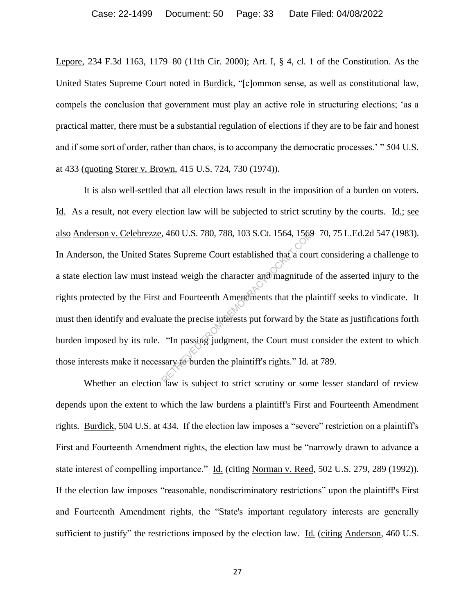Lepore, 234 F.3d 1163, 1179–80 (11th Cir. 2000); Art. I, § 4, cl. 1 of the Constitution. As the United States Supreme Court noted in Burdick, "[c]ommon sense, as well as constitutional law, compels the conclusion that government must play an active role in structuring elections; 'as a practical matter, there must be a substantial regulation of elections if they are to be fair and honest and if some sort of order, rather than chaos, is to accompany the democratic processes.' " 504 U.S. at 433 (quoting Storer v. Brown, 415 U.S. 724, 730 (1974)).

It is also well-settled that all election laws result in the imposition of a burden on voters. Id. As a result, not every election law will be subjected to strict scrutiny by the courts. Id.; see also Anderson v. Celebrezze, 460 U.S. 780, 788, 103 S.Ct. 1564, 1569–70, 75 L.Ed.2d 547 (1983). In Anderson, the United States Supreme Court established that a court considering a challenge to a state election law must instead weigh the character and magnitude of the asserted injury to the rights protected by the First and Fourteenth Amendments that the plaintiff seeks to vindicate. It must then identify and evaluate the precise interests put forward by the State as justifications forth burden imposed by its rule. "In passing judgment, the Court must consider the extent to which those interests make it necessary to burden the plaintiff's rights." Id. at 789.  $(460 \text{ U.S. } / 80, / 88, 103 \text{ S.C.t. } 1564, 1564)$ <br>tes Supreme Court established that a courted weigh the character and magnitude<br>and Fourteenth Americanness that the plate the precise interests put forward by the "In passin

Whether an election law is subject to strict scrutiny or some lesser standard of review depends upon the extent to which the law burdens a plaintiff's First and Fourteenth Amendment rights. Burdick, 504 U.S. at 434. If the election law imposes a "severe" restriction on a plaintiff's First and Fourteenth Amendment rights, the election law must be "narrowly drawn to advance a state interest of compelling importance." Id. (citing Norman v. Reed, 502 U.S. 279, 289 (1992)). If the election law imposes "reasonable, nondiscriminatory restrictions" upon the plaintiff's First and Fourteenth Amendment rights, the "State's important regulatory interests are generally sufficient to justify" the restrictions imposed by the election law. Id. (citing Anderson, 460 U.S.)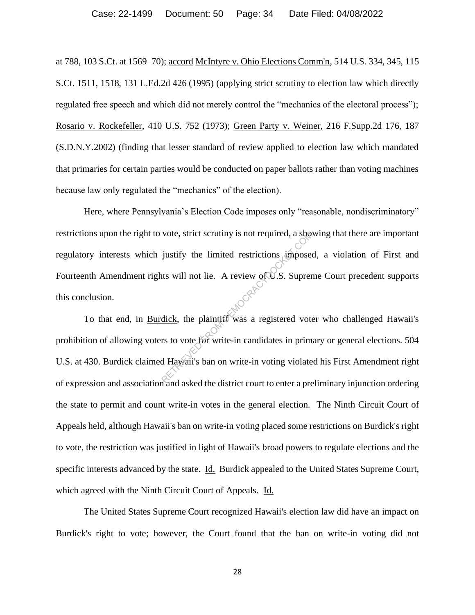at 788, 103 S.Ct. at 1569–70); accord McIntyre v. Ohio Elections Comm'n, 514 U.S. 334, 345, 115 S.Ct. 1511, 1518, 131 L.Ed.2d 426 (1995) (applying strict scrutiny to election law which directly regulated free speech and which did not merely control the "mechanics of the electoral process"); Rosario v. Rockefeller, 410 U.S. 752 (1973); Green Party v. Weiner, 216 F.Supp.2d 176, 187 (S.D.N.Y.2002) (finding that lesser standard of review applied to election law which mandated that primaries for certain parties would be conducted on paper ballots rather than voting machines because law only regulated the "mechanics" of the election).

Here, where Pennsylvania's Election Code imposes only "reasonable, nondiscriminatory" restrictions upon the right to vote, strict scrutiny is not required, a showing that there are important regulatory interests which justify the limited restrictions imposed, a violation of First and Fourteenth Amendment rights will not lie. A review of U.S. Supreme Court precedent supports this conclusion. vote, strict scrutiny is not required, a sheap<br>justify the limited restrictions imposed<br>the will not lie. A review of U.S. Suprements<br>will not lie. A review of U.S. Suprements<br>dick, the plaintiff was a registered vote<br>of t

To that end, in Burdick, the plaintiff was a registered voter who challenged Hawaii's prohibition of allowing voters to vote for write-in candidates in primary or general elections. 504 U.S. at 430. Burdick claimed Hawaii's ban on write-in voting violated his First Amendment right of expression and association and asked the district court to enter a preliminary injunction ordering the state to permit and count write-in votes in the general election. The Ninth Circuit Court of Appeals held, although Hawaii's ban on write-in voting placed some restrictions on Burdick's right to vote, the restriction was justified in light of Hawaii's broad powers to regulate elections and the specific interests advanced by the state. Id. Burdick appealed to the United States Supreme Court, which agreed with the Ninth Circuit Court of Appeals. Id.

The United States Supreme Court recognized Hawaii's election law did have an impact on Burdick's right to vote; however, the Court found that the ban on write-in voting did not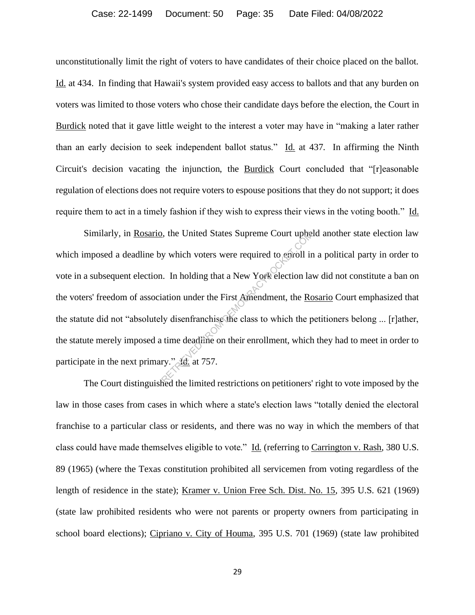unconstitutionally limit the right of voters to have candidates of their choice placed on the ballot. Id. at 434. In finding that Hawaii's system provided easy access to ballots and that any burden on voters was limited to those voters who chose their candidate days before the election, the Court in Burdick noted that it gave little weight to the interest a voter may have in "making a later rather than an early decision to seek independent ballot status." Id. at 437. In affirming the Ninth Circuit's decision vacating the injunction, the Burdick Court concluded that "[r]easonable regulation of elections does not require voters to espouse positions that they do not support; it does require them to act in a timely fashion if they wish to express their views in the voting booth." Id.

Similarly, in Rosario, the United States Supreme Court upheld another state election law which imposed a deadline by which voters were required to enroll in a political party in order to vote in a subsequent election. In holding that a New York election law did not constitute a ban on the voters' freedom of association under the First Amendment, the Rosario Court emphasized that the statute did not "absolutely disenfranchise the class to which the petitioners belong ... [r]ather, the statute merely imposed a time deadline on their enrollment, which they had to meet in order to participate in the next primary." Id. at 757. Experime Court upher<br>y which voters were required to enroll in<br>i. In holding that a New York election land<br>intion under the First Amendment, the <u>Rc</u><br>ly disenfranchise the class to which the p<br>time deadline on their enrol

The Court distinguished the limited restrictions on petitioners' right to vote imposed by the law in those cases from cases in which where a state's election laws "totally denied the electoral franchise to a particular class or residents, and there was no way in which the members of that class could have made themselves eligible to vote." Id. (referring to Carrington v. Rash, 380 U.S. 89 (1965) (where the Texas constitution prohibited all servicemen from voting regardless of the length of residence in the state); Kramer v. Union Free Sch. Dist. No. 15, 395 U.S. 621 (1969) (state law prohibited residents who were not parents or property owners from participating in school board elections); Cipriano v. City of Houma, 395 U.S. 701 (1969) (state law prohibited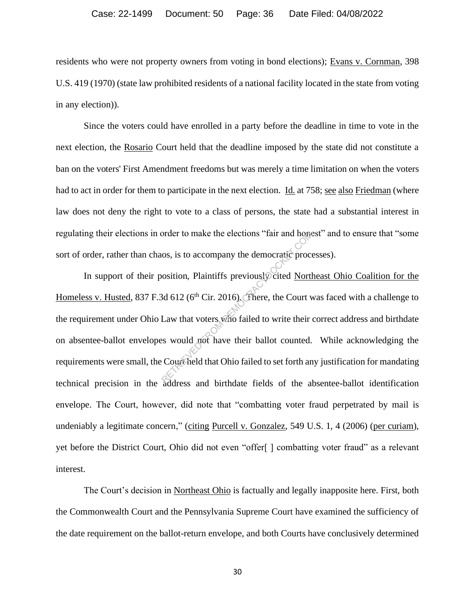residents who were not property owners from voting in bond elections); Evans v. Cornman, 398 U.S. 419 (1970) (state law prohibited residents of a national facility located in the state from voting in any election)).

Since the voters could have enrolled in a party before the deadline in time to vote in the next election, the Rosario Court held that the deadline imposed by the state did not constitute a ban on the voters' First Amendment freedoms but was merely a time limitation on when the voters had to act in order for them to participate in the next election. Id. at 758; see also Friedman (where law does not deny the right to vote to a class of persons, the state had a substantial interest in regulating their elections in order to make the elections "fair and honest" and to ensure that "some sort of order, rather than chaos, is to accompany the democratic processes).

In support of their position, Plaintiffs previously cited Northeast Ohio Coalition for the Homeless v. Husted, 837 F.3d 612 ( $6<sup>th</sup>$  Cir. 2016). There, the Court was faced with a challenge to the requirement under Ohio Law that voters who failed to write their correct address and birthdate on absentee-ballot envelopes would not have their ballot counted. While acknowledging the requirements were small, the Court held that Ohio failed to set forth any justification for mandating technical precision in the address and birthdate fields of the absentee-ballot identification envelope. The Court, however, did note that "combatting voter fraud perpetrated by mail is undeniably a legitimate concern," (citing Purcell v. Gonzalez, 549 U.S. 1, 4 (2006) (per curiam), yet before the District Court, Ohio did not even "offer[ ] combatting voter fraud" as a relevant interest. order to make the elections "fair and hone<br>
os, is to accompany the democratic proce<br>
osition, Plaintiffs previously cited North<br>
3d 612 (6<sup>th</sup> Cir. 2016). There, the Court v<br>
Law that voters who failed to write their<br>
sex

The Court's decision in Northeast Ohio is factually and legally inapposite here. First, both the Commonwealth Court and the Pennsylvania Supreme Court have examined the sufficiency of the date requirement on the ballot-return envelope, and both Courts have conclusively determined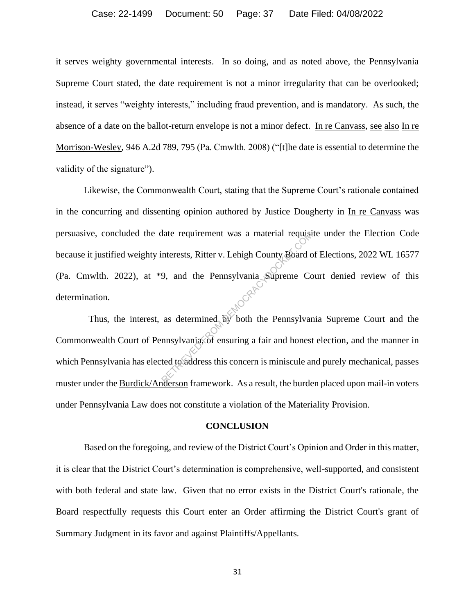#### Case: 22-1499 Document: 50 Page: 37 Date Filed: 04/08/2022

it serves weighty governmental interests. In so doing, and as noted above, the Pennsylvania Supreme Court stated, the date requirement is not a minor irregularity that can be overlooked; instead, it serves "weighty interests," including fraud prevention, and is mandatory. As such, the absence of a date on the ballot-return envelope is not a minor defect. In re Canvass, see also In re Morrison-Wesley, 946 A.2d 789, 795 (Pa. Cmwlth. 2008) ("[t]he date is essential to determine the validity of the signature").

Likewise, the Commonwealth Court, stating that the Supreme Court's rationale contained in the concurring and dissenting opinion authored by Justice Dougherty in In re Canvass was persuasive, concluded the date requirement was a material requisite under the Election Code because it justified weighty interests, Ritter v. Lehigh County Board of Elections, 2022 WL 16577 (Pa. Cmwlth. 2022), at \*9, and the Pennsylvania Supreme Court denied review of this determination. Mate requirement was a material requision<br>Interests, <u>Ritter v. Lehigh County Board com</u><br>Supreme Compare Compare of the Pennsylvania, of ensuring a fair and honest<br>ted to address this concern is miniscule and the person fr

 Thus, the interest, as determined by both the Pennsylvania Supreme Court and the Commonwealth Court of Pennsylvania, of ensuring a fair and honest election, and the manner in which Pennsylvania has elected to address this concern is miniscule and purely mechanical, passes muster under the Burdick/Anderson framework. As a result, the burden placed upon mail-in voters under Pennsylvania Law does not constitute a violation of the Materiality Provision.

#### **CONCLUSION**

Based on the foregoing, and review of the District Court's Opinion and Order in this matter, it is clear that the District Court's determination is comprehensive, well-supported, and consistent with both federal and state law. Given that no error exists in the District Court's rationale, the Board respectfully requests this Court enter an Order affirming the District Court's grant of Summary Judgment in its favor and against Plaintiffs/Appellants.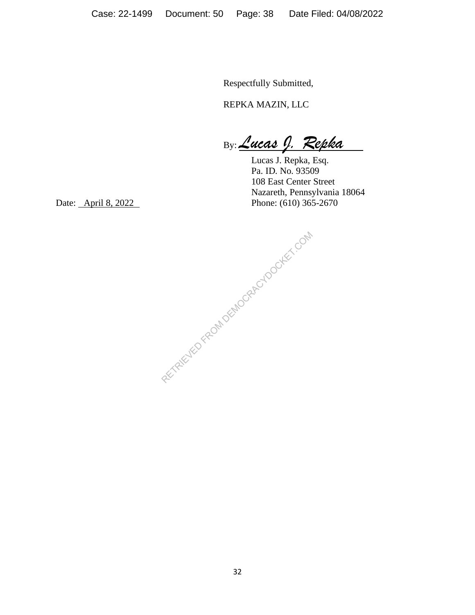Respectfully Submitted,

REPKA MAZIN, LLC

By: *Lucas J. Repka*

Lucas J. Repka, Esq. Pa. ID. No. 93509 108 East Center Street Nazareth, Pennsylvania 18064 Date: <u>April 8, 2022</u> Phone: (610) 365-2670

RETRIEVED FROM DEMOCRACYDOCKET.COM